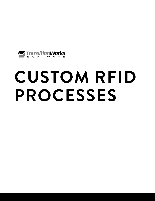

# **CUSTOM RFID PROCESSES**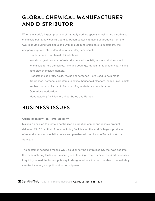# **GLOBAL CHEMICAL MANUFACTURER AND DISTRIBUTOR**

When the world's largest producer of naturally derived specialty resins and pine-based chemicals built a new centralized distribution center managing all products from their U.S. manufacturing facilities along with all outbound shipments to customers, the company required total automation of inventory movements.

- Headquarters: Southeast United States
- World's largest producer of naturally derived specialty resins and pine-based chemicals for the adhesives, inks and coatings, lubricants, fuel additives, mining and oleo chemicals markets.
- Products include fatty acids, rosins and terpenes are used to help make fragrances, personal care items, plastics, household cleaners, soaps, inks, paints, rubber products, hydraulic fluids, roofing material and much more.
- Operations world-wide
- Manufacturing facilities in United States and Europe

## **BUSINESS ISSUES**

#### **Quick Inventory/Real-Time Visibility**

Making a decision to create a centralized distribution center and receive product delivered 24x7 from their 5 manufacturing facilities led the world's largest producer of naturally derived speciality resins and pine-based chemicals to TransitionWorks Software.

The customer needed a mobile WMS solution for the centralized DC that was tied into the manufacturing facility for finished goods labeling. The customer required processes to quickly unload the trucks, putaway to designated location, and be able to immediately see the inventory and pull product for shipment.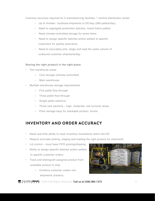Inventory accuracy required for 5 manufacturing facilities, 1 central distribution center

- Up to thirteen truckload shipments to DC/day (260 pallets/day)
- Need to segregate production batches, mixed batch pallets
- Need climate-controlled storage for some items
- Need to assign specific batches and/or pallets to specific customers for quality assurance
- Need to accurately pick, stage and load the same volume of outbound customer shipments/day

#### **Storing the right product in the right place**

- Two warehouse areas
	- Cool storage (climate controlled)
	- Main warehouse
- Multiple warehouse storage requirements
	- Five pallet flow-through
	- Three pallet flow-through
	- Single pallet selective
	- Three rack sections high, moderate, low turnover areas
	- Floor storage bays for stackable product, drums

## **INVENTORY AND ORDER ACCURACY**

- Need real-time ability to track inventory movements within the DC
- Require accurate picking, staging and loading the right product for shipments
- Lot control must have FIFO picking/shipping
- Ability to assign specific batches and/or pallets to specific customer orders
- Track and distinguish assigned product from available product to ship
	- Combine customer orders into shipments (trailers)

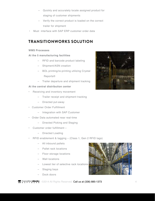- Quickly and accurately locate assigned product for staging of customer shipments
- Verify the correct product is loaded on the correct trailer for shipment
- Must interface with SAP ERP customer order data

## **TRANSITIONWORKS SOLUTION**

#### **WMS Processes**

#### **At the 5 manufacturing facilities**

- RFID and barcode product labeling
- Shipment/ASN creation
- BOL printing/re-printing utilizing Crystal Reports®
- Trailer departure and shipment tracking

#### **At the central distribution center**

- Receiving and inventory movement
	- Trailer receipt and shipment tracking
	- Directed put-away
- Customer Order Fulfillment
	- Integration with SAP Customer
- Order Data automated near real-time
	- Directed Picking and Staging
- Customer order fulfillment
	- Directed Loading
- RFID enablement & tagging (Class 1, Gen 2 RFID tags)
	- All inbound pallets
	- Pallet rack locations
	- Floor storage locations
	- Wall locations
	- Lowest tier of selective rack locations
	- Staging bays
	- Dock doors



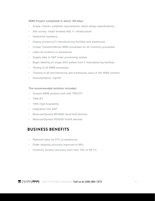#### **WMS Project completed in about 180 days**

- Scope, charter, establish requirements, detail design specifications
- Site survey, install wireless 802.11 infrastructure
- Determine hardware
- Deploy printers at 5 manufacturing facilities and warehouse
- Create TransitionWorks WMS processes for all inventory processes
- Label all locations in warehouse
- Supply data to SAP order processing system
- Begin labeling all single SKU pallets from 5 manufacturing facilities
- Testing of all WMS processes
- Training of all manufacturing and warehouse users of the WMS solution.
- Documentation, signoff

#### **The recommended solution included:**

- Custom WMS solution built with TWS-DT
- TWS-RT
- TWS High Availability
- Integration into SAP
- Motorola/Symbol MC9090 hand-held devices
- Motorola/Symbol RD5000 forklift devices

## **BUSINESS BENEFITS**

- Reduced labor by 27% at warehouse
- Order shipping accuracy improved to 99%
- Inventory location accuracy went from 76% to 99.7%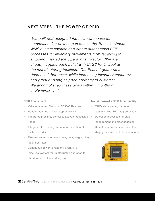## **NEXT STEPS... THE POWER OF RFID**

*"We built and designed the new warehouse for automation.Our next step is to take the TransitionWorks WMS custom solution and create autonomous RFID processes for inventory movements from receiving to shipping," stated the Operations Director. "We are already tagging each pallet with C1G2 RFID label at the manufacturing facilities. Our Phase I goal was to decrease labor costs, while increasing inventory accuracy and product being shipped correctly to customer. We accomplished these goals within 3 months of implementation."*

#### **RFID Enablement**

- Vehicle mounted Motorola RD5000 Readers
- Reader mounted in back stop of fork lift
- Integrated proximity sensor to activate/deactivate Detection processes for pallet reader
- Integrated fork-facing antenna for detection of pallet on forks
- External antenna to detect rack, floor, staging bay, dock door tags
- Continuous power to reader via fork lift's electrical system for uninterrupted operation for the duration of the working day

#### **TransitionWorks RFID functionality**

- OHIO via replacing barcode scanning with RFID tag detection
- engagement and disengagement
- Detection processes for rack, floor, staging bay and dock door locations